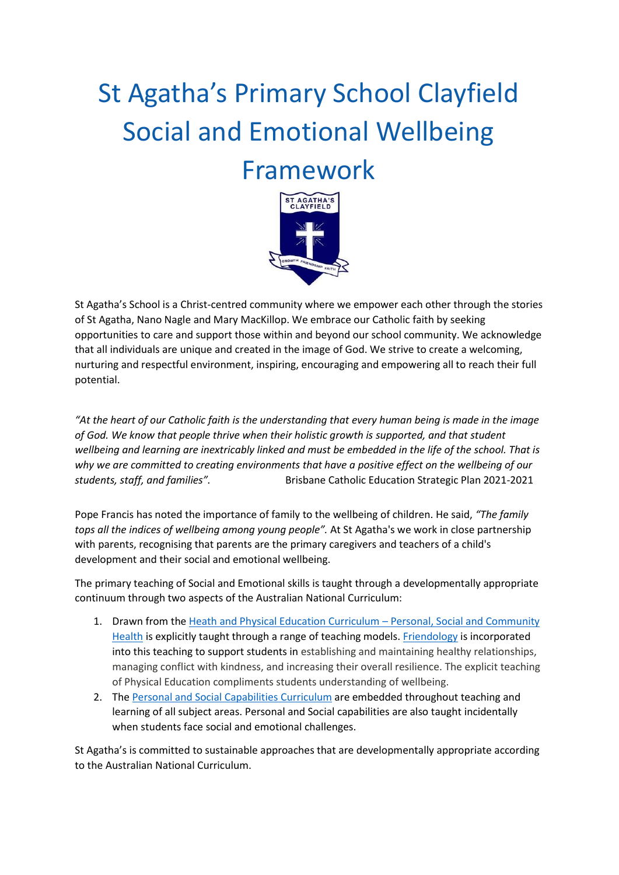## St Agatha's Primary School Clayfield Social and Emotional Wellbeing Framework



St Agatha's School is a Christ-centred community where we empower each other through the stories of St Agatha, Nano Nagle and Mary MacKillop. We embrace our Catholic faith by seeking opportunities to care and support those within and beyond our school community. We acknowledge that all individuals are unique and created in the image of God. We strive to create a welcoming, nurturing and respectful environment, inspiring, encouraging and empowering all to reach their full potential.

*"At the heart of our Catholic faith is the understanding that every human being is made in the image of God. We know that people thrive when their holistic growth is supported, and that student wellbeing and learning are inextricably linked and must be embedded in the life of the school. That is why we are committed to creating environments that have a positive effect on the wellbeing of our students, staff, and families".* Brisbane Catholic Education Strategic Plan 2021-2021

Pope Francis has noted the importance of family to the wellbeing of children. He said, *"The family tops all the indices of wellbeing among young people".* At St Agatha's we work in close partnership with parents, recognising that parents are the primary caregivers and teachers of a child's development and their social and emotional wellbeing.

The primary teaching of Social and Emotional skills is taught through a developmentally appropriate continuum through two aspects of the Australian National Curriculum:

- 1. Drawn from th[e Heath and Physical Education Curriculum](https://www.australiancurriculum.edu.au/f-10-curriculum/health-and-physical-education/?year=12993&year=12994&year=12995&year=12996&strand=Personal%2C+Social+and+Community+Health&strand=Movement+and+Physical+Activity&capability=ignore&capability=Literacy&capability=Numeracy&capability=Information+and+Communication+Technology+%28ICT%29+Capability&capability=Critical+and+Creative+Thinking&capability=Personal+and+Social+Capability&capability=Ethical+Understanding&capability=Intercultural+Understanding&priority=ignore&priority=Aboriginal+and+Torres+Strait+Islander+Histories+and+Cultures&priority=Asia+and+Australia%E2%80%99s+Engagement+with+Asia&priority=Sustainability&elaborations=true&elaborations=false&scotterms=false&isFirstPageLoad=false)  Personal, Social and Community [Health](https://www.australiancurriculum.edu.au/f-10-curriculum/health-and-physical-education/?year=12993&year=12994&year=12995&year=12996&strand=Personal%2C+Social+and+Community+Health&strand=Movement+and+Physical+Activity&capability=ignore&capability=Literacy&capability=Numeracy&capability=Information+and+Communication+Technology+%28ICT%29+Capability&capability=Critical+and+Creative+Thinking&capability=Personal+and+Social+Capability&capability=Ethical+Understanding&capability=Intercultural+Understanding&priority=ignore&priority=Aboriginal+and+Torres+Strait+Islander+Histories+and+Cultures&priority=Asia+and+Australia%E2%80%99s+Engagement+with+Asia&priority=Sustainability&elaborations=true&elaborations=false&scotterms=false&isFirstPageLoad=false) is explicitly taught through a range of teaching models[. Friendology](https://urstrong.com/parents/) is incorporated into this teaching to support students in establishing and maintaining healthy relationships, managing conflict with kindness, and increasing their overall resilience. The explicit teaching of Physical Education compliments students understanding of wellbeing.
- 2. The [Personal and Social Capabilities Curriculum](https://www.australiancurriculum.edu.au/f-10-curriculum/general-capabilities/personal-and-social-capability/) are embedded throughout teaching and learning of all subject areas. Personal and Social capabilities are also taught incidentally when students face social and emotional challenges.

St Agatha's is committed to sustainable approaches that are developmentally appropriate according to the Australian National Curriculum.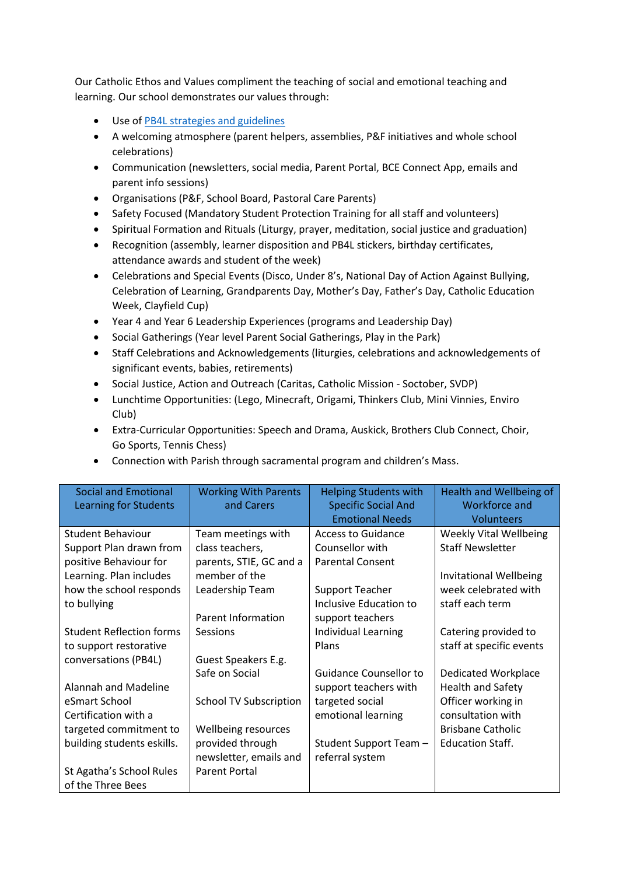Our Catholic Ethos and Values compliment the teaching of social and emotional teaching and learning. Our school demonstrates our values through:

- Use of [PB4L strategies and guidelines](http://www.stagathasclayfield.qld.edu.au/curriculum-and-students/Pages/Positive-Behaviour-for-Learning-(PB4L).aspx)
- A welcoming atmosphere (parent helpers, assemblies, P&F initiatives and whole school celebrations)
- Communication (newsletters, social media, Parent Portal, BCE Connect App, emails and parent info sessions)
- Organisations (P&F, School Board, Pastoral Care Parents)
- Safety Focused (Mandatory Student Protection Training for all staff and volunteers)
- Spiritual Formation and Rituals (Liturgy, prayer, meditation, social justice and graduation)
- Recognition (assembly, learner disposition and PB4L stickers, birthday certificates, attendance awards and student of the week)
- Celebrations and Special Events (Disco, Under 8's, National Day of Action Against Bullying, Celebration of Learning, Grandparents Day, Mother's Day, Father's Day, Catholic Education Week, Clayfield Cup)
- Year 4 and Year 6 Leadership Experiences (programs and Leadership Day)
- Social Gatherings (Year level Parent Social Gatherings, Play in the Park)
- Staff Celebrations and Acknowledgements (liturgies, celebrations and acknowledgements of significant events, babies, retirements)
- Social Justice, Action and Outreach (Caritas, Catholic Mission Soctober, SVDP)
- Lunchtime Opportunities: (Lego, Minecraft, Origami, Thinkers Club, Mini Vinnies, Enviro Club)
- Extra-Curricular Opportunities: Speech and Drama, Auskick, Brothers Club Connect, Choir, Go Sports, Tennis Chess)
- Connection with Parish through sacramental program and children's Mass.

| <b>Social and Emotional</b>     | <b>Working With Parents</b>   | <b>Helping Students with</b>  | Health and Wellbeing of       |
|---------------------------------|-------------------------------|-------------------------------|-------------------------------|
| Learning for Students           | and Carers                    | <b>Specific Social And</b>    | Workforce and                 |
|                                 |                               | <b>Emotional Needs</b>        | <b>Volunteers</b>             |
| Student Behaviour               | Team meetings with            | <b>Access to Guidance</b>     | <b>Weekly Vital Wellbeing</b> |
| Support Plan drawn from         | class teachers,               | Counsellor with               | <b>Staff Newsletter</b>       |
| positive Behaviour for          | parents, STIE, GC and a       | <b>Parental Consent</b>       |                               |
| Learning. Plan includes         | member of the                 |                               | Invitational Wellbeing        |
| how the school responds         | Leadership Team               | <b>Support Teacher</b>        | week celebrated with          |
| to bullying                     |                               | Inclusive Education to        | staff each term               |
|                                 | Parent Information            | support teachers              |                               |
| <b>Student Reflection forms</b> | <b>Sessions</b>               | Individual Learning           | Catering provided to          |
| to support restorative          |                               | Plans                         | staff at specific events      |
| conversations (PB4L)            | Guest Speakers E.g.           |                               |                               |
|                                 | Safe on Social                | <b>Guidance Counsellor to</b> | Dedicated Workplace           |
| <b>Alannah and Madeline</b>     |                               | support teachers with         | <b>Health and Safety</b>      |
| eSmart School                   | <b>School TV Subscription</b> | targeted social               | Officer working in            |
| Certification with a            |                               | emotional learning            | consultation with             |
| targeted commitment to          | Wellbeing resources           |                               | <b>Brisbane Catholic</b>      |
| building students eskills.      | provided through              | Student Support Team -        | <b>Education Staff.</b>       |
|                                 | newsletter, emails and        | referral system               |                               |
| St Agatha's School Rules        | <b>Parent Portal</b>          |                               |                               |
| of the Three Bees               |                               |                               |                               |